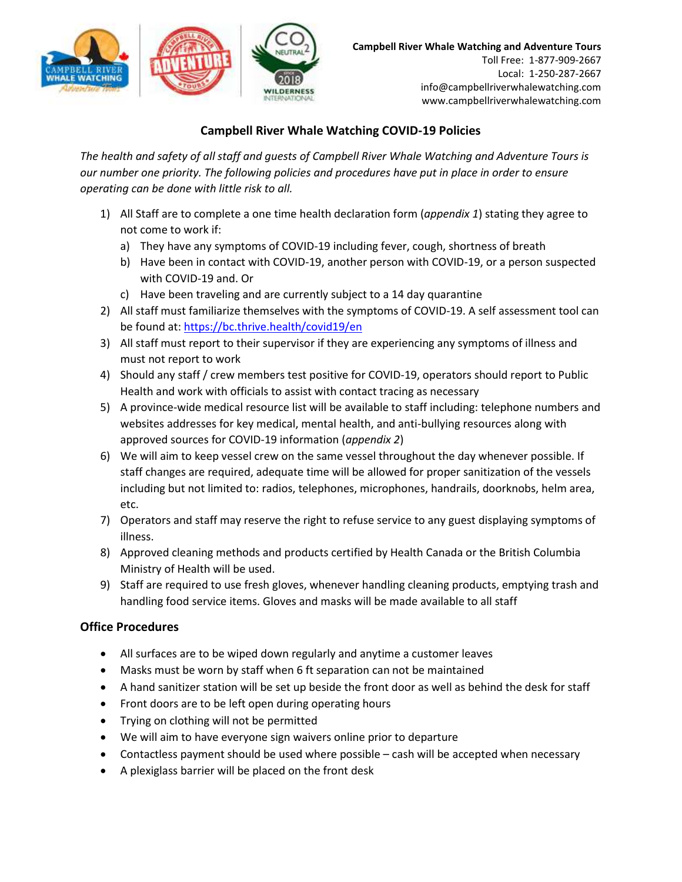





## **Campbell River Whale Watching COVID-19 Policies**

*The health and safety of all staff and guests of Campbell River Whale Watching and Adventure Tours is our number one priority. The following policies and procedures have put in place in order to ensure operating can be done with little risk to all.* 

- 1) All Staff are to complete a one time health declaration form (*appendix 1*) stating they agree to not come to work if:
	- a) They have any symptoms of COVID-19 including fever, cough, shortness of breath
	- b) Have been in contact with COVID-19, another person with COVID-19, or a person suspected with COVID-19 and. Or
	- c) Have been traveling and are currently subject to a 14 day quarantine

WILDERNESS

- 2) All staff must familiarize themselves with the symptoms of COVID-19. A self assessment tool can be found at:<https://bc.thrive.health/covid19/en>
- 3) All staff must report to their supervisor if they are experiencing any symptoms of illness and must not report to work
- 4) Should any staff / crew members test positive for COVID-19, operators should report to Public Health and work with officials to assist with contact tracing as necessary
- 5) A province-wide medical resource list will be available to staff including: telephone numbers and websites addresses for key medical, mental health, and anti-bullying resources along with approved sources for COVID-19 information (*appendix 2*)
- 6) We will aim to keep vessel crew on the same vessel throughout the day whenever possible. If staff changes are required, adequate time will be allowed for proper sanitization of the vessels including but not limited to: radios, telephones, microphones, handrails, doorknobs, helm area, etc.
- 7) Operators and staff may reserve the right to refuse service to any guest displaying symptoms of illness.
- 8) Approved cleaning methods and products certified by Health Canada or the British Columbia Ministry of Health will be used.
- 9) Staff are required to use fresh gloves, whenever handling cleaning products, emptying trash and handling food service items. Gloves and masks will be made available to all staff

### **Office Procedures**

- All surfaces are to be wiped down regularly and anytime a customer leaves
- Masks must be worn by staff when 6 ft separation can not be maintained
- A hand sanitizer station will be set up beside the front door as well as behind the desk for staff
- Front doors are to be left open during operating hours
- Trying on clothing will not be permitted
- We will aim to have everyone sign waivers online prior to departure
- Contactless payment should be used where possible cash will be accepted when necessary
- A plexiglass barrier will be placed on the front desk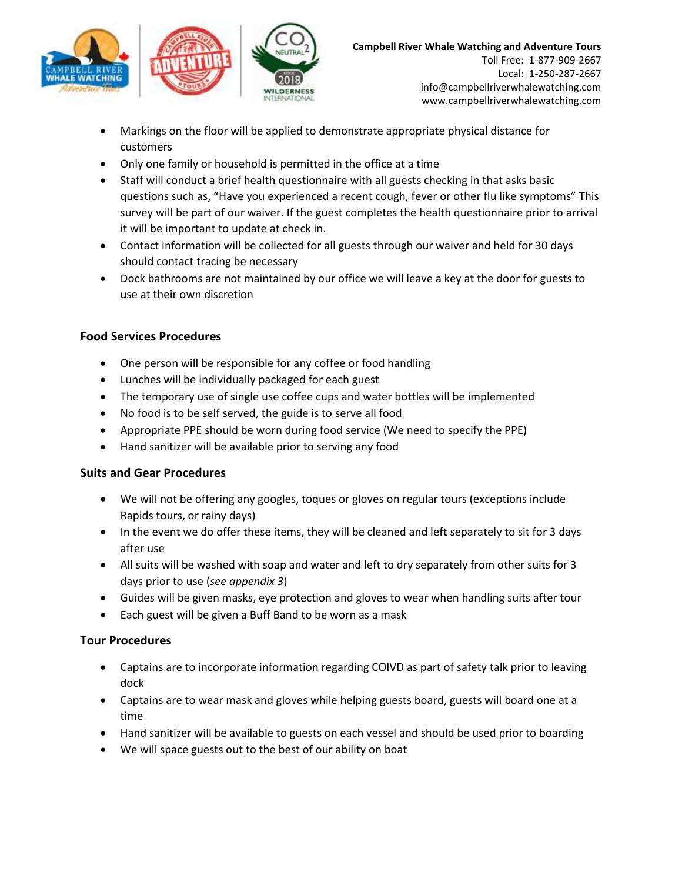



- Markings on the floor will be applied to demonstrate appropriate physical distance for customers
- Only one family or household is permitted in the office at a time

WILDERNESS

- Staff will conduct a brief health questionnaire with all guests checking in that asks basic questions such as, "Have you experienced a recent cough, fever or other flu like symptoms" This survey will be part of our waiver. If the guest completes the health questionnaire prior to arrival it will be important to update at check in.
- Contact information will be collected for all guests through our waiver and held for 30 days should contact tracing be necessary
- Dock bathrooms are not maintained by our office we will leave a key at the door for guests to use at their own discretion

### **Food Services Procedures**

- One person will be responsible for any coffee or food handling
- Lunches will be individually packaged for each guest
- The temporary use of single use coffee cups and water bottles will be implemented
- No food is to be self served, the guide is to serve all food
- Appropriate PPE should be worn during food service (We need to specify the PPE)
- Hand sanitizer will be available prior to serving any food

#### **Suits and Gear Procedures**

- We will not be offering any googles, toques or gloves on regular tours (exceptions include Rapids tours, or rainy days)
- In the event we do offer these items, they will be cleaned and left separately to sit for 3 days after use
- All suits will be washed with soap and water and left to dry separately from other suits for 3 days prior to use (*see appendix 3*)
- Guides will be given masks, eye protection and gloves to wear when handling suits after tour
- Each guest will be given a Buff Band to be worn as a mask

#### **Tour Procedures**

- Captains are to incorporate information regarding COIVD as part of safety talk prior to leaving dock
- Captains are to wear mask and gloves while helping guests board, guests will board one at a time
- Hand sanitizer will be available to guests on each vessel and should be used prior to boarding
- We will space guests out to the best of our ability on boat